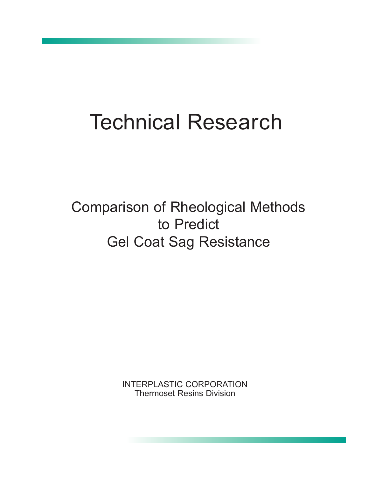# Technical Research

Comparison of Rheological Methods to Predict Gel Coat Sag Resistance

> INTERPLASTIC CORPORATION Thermoset Resins Division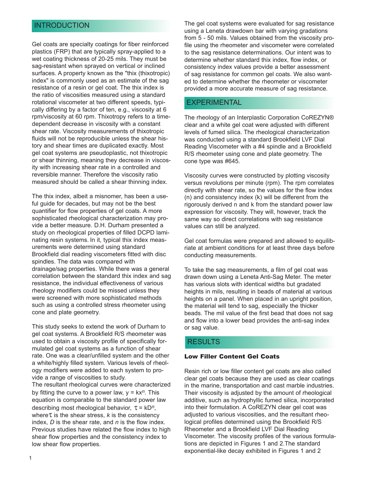#### INTRODUCTION

Gel coats are specialty coatings for fiber reinforced plastics (FRP) that are typically spray-applied to a wet coating thickness of 20-25 mils. They must be sag-resistant when sprayed on vertical or inclined surfaces. A property known as the "thix (thixotropic) index" is commonly used as an estimate of the sag resistance of a resin or gel coat. The thix index is the ratio of viscosities measured using a standard rotational viscometer at two different speeds, typically differing by a factor of ten, e.g., viscosity at 6 rpm/viscosity at 60 rpm. Thixotropy refers to a timedependent decrease in viscosity with a constant shear rate. Viscosity measurements of thixotropic fluids will not be reproducible unless the shear history and shear times are duplicated exactly. Most gel coat systems are pseudoplastic, not thixotropic or shear thinning, meaning they decrease in viscosity with increasing shear rate in a controlled and reversible manner. Therefore the viscosity ratio measured should be called a shear thinning index.

The thix index, albeit a misnomer, has been a useful guide for decades, but may not be the best quantifier for flow properties of gel coats. A more sophisticated rheological characterization may provide a better measure. D.H. Durham presented a study on rheological properties of filled DCPD laminating resin systems. In it, typical thix index measurements were determined using standard Brookfield dial reading viscometers fitted with disc spindles. The data was compared with drainage/sag properties. While there was a general correlation between the standard thix index and sag resistance, the individual effectiveness of various rheology modifiers could be missed unless they were screened with more sophisticated methods such as using a controlled stress rheometer using cone and plate geometry.

This study seeks to extend the work of Durham to gel coat systems. A Brookfield R/S rheometer was used to obtain a viscosity profile of specifically formulated gel coat systems as a function of shear rate. One was a clear/unfilled system and the other a white/highly filled system. Various levels of rheology modifiers were added to each system to provide a range of viscosities to study.

The resultant rheological curves were characterized by fitting the curve to a power law, y = kx*n*. This equation is comparable to the standard power law describing most rheological behavior,  $\tau = kD^n$ , where  $\tau$  is the shear stress,  $k$  is the consistency index, *D* is the shear rate, and *n* is the flow index. Previous studies have related the flow index to high shear flow properties and the consistency index to low shear flow properties.

The gel coat systems were evaluated for sag resistance using a Leneta drawdown bar with varying gradations from 5 - 50 mils. Values obtained from the viscosity profile using the rheometer and viscometer were correlated to the sag resistance determinations. Our intent was to determine whether standard thix index, flow index, or consistency index values provide a better assessment of sag resistance for common gel coats. We also wanted to determine whether the rheometer or viscometer provided a more accurate measure of sag resistance.

#### EXPERIMENTAL

The rheology of an Interplastic Corporation CoREZYN® clear and a white gel coat were adjusted with different levels of fumed silica. The rheological characterization was conducted using a standard Brookfield LVF Dial Reading Viscometer with a #4 spindle and a Brookfield R/S rheometer using cone and plate geometry. The cone type was #645.

Viscosity curves were constructed by plotting viscosity versus revolutions per minute (rpm). The rpm correlates directly with shear rate, so the values for the flow index (n) and consistency index (k) will be different from the rigorously derived n and k from the standard power law expression for viscosity. They will, however, track the same way so direct correlations with sag resistance values can still be analyzed.

Gel coat formulas were prepared and allowed to equilibriate at ambient conditions for at least three days before conducting measurements.

To take the sag measurements, a film of gel coat was drawn down using a Leneta Anti-Sag Meter. The meter has various slots with identical widths but gradated heights in mils, resulting in beads of material at various heights on a panel. When placed in an upright position, the material will tend to sag, especially the thicker beads. The mil value of the first bead that does not sag and flow into a lower bead provides the anti-sag index or sag value.

#### RESULTS

#### Low Filler Content Gel Coats

Resin rich or low filler content gel coats are also called clear gel coats because they are used as clear coatings in the marine, transportation and cast marble industries. Their viscosity is adjusted by the amount of rheological additive, such as hydrophyllic fumed silica, incorporated into their formulation. A CoREZYN clear gel coat was adjusted to various viscosities, and the resultant rheological profiles determined using the Brookfield R/S Rheometer and a Brookfield LVF Dial Reading Viscometer. The viscosity profiles of the various formulations are depicted in Figures 1 and 2.The standard exponential-like decay exhibited in Figures 1 and 2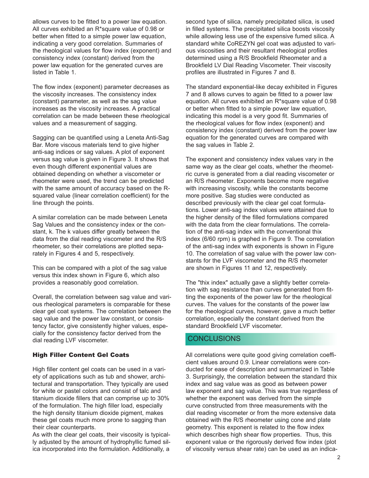allows curves to be fitted to a power law equation. All curves exhibited an R\*square value of 0.98 or better when fitted to a simple power law equation, indicating a very good correlation. Summaries of the rheological values for flow index (exponent) and consistency index (constant) derived from the power law equation for the generated curves are listed in Table 1.

The flow index (exponent) parameter decreases as the viscosity increases. The consistency index (constant) parameter, as well as the sag value increases as the viscosity increases. A practical correlation can be made between these rheological values and a measurement of sagging.

Sagging can be quantified using a Leneta Anti-Sag Bar. More viscous materials tend to give higher anti-sag indices or sag values. A plot of exponent versus sag value is given in Figure 3. It shows that even though different exponential values are obtained depending on whether a viscometer or rheometer were used, the trend can be predicted with the same amount of accuracy based on the Rsquared value (linear correlation coefficient) for the line through the points.

A similar correlation can be made between Leneta Sag Values and the consistency index or the constant, k. The k values differ greatly between the data from the dial reading viscometer and the R/S rheometer, so their correlations are plotted separately in Figures 4 and 5, respectively.

This can be compared with a plot of the sag value versus thix index shown in Figure 6, which also provides a reasonably good correlation.

Overall, the correlation between sag value and various rheological parameters is comparable for these clear gel coat systems. The correlation between the sag value and the power law constant, or consistency factor, give consistently higher values, especially for the consistency factor derived from the dial reading LVF viscometer.

#### High Filler Content Gel Coats

High filler content gel coats can be used in a variety of applications such as tub and shower, architectural and transportation. They typically are used for white or pastel colors and consist of talc and titanium dioxide fillers that can comprise up to 30% of the formulation. The high filler load, especially the high density titanium dioxide pigment, makes these gel coats much more prone to sagging than their clear counterparts.

As with the clear gel coats, their viscosity is typically adjusted by the amount of hydrophyllic fumed silica incorporated into the formulation. Additionally, a

second type of silica, namely precipitated silica, is used in filled systems. The precipitated silica boosts viscosity while allowing less use of the expensive fumed silica. A standard white CoREZYN gel coat was adjusted to various viscosities and their resultant rheological profiles determined using a R/S Brookfield Rheometer and a Brookfield LV Dial Reading Viscometer. Their viscosity profiles are illustrated in Figures 7 and 8.

The standard exponential-like decay exhibited in Figures 7 and 8 allows curves to again be fitted to a power law equation. All curves exhibited an R\*square value of 0.98 or better when fitted to a simple power law equation, indicating this model is a very good fit. Summaries of the rheological values for flow index (exponent) and consistency index (constant) derived from the power law equation for the generated curves are compared with the sag values in Table 2.

The exponent and consistency index values vary in the same way as the clear gel coats, whether the rheometric curve is generated from a dial reading viscometer or an R/S rheometer. Exponents become more negative with increasing viscosity, while the constants become more positive. Sag studies were conducted as described previously with the clear gel coat formulations. Lower anti-sag index values were attained due to the higher density of the filled formulations compared with the data from the clear formulations. The correlation of the anti-sag index with the conventional thix index (6/60 rpm) is graphed in Figure 9. The correlation of the anti-sag index with exponents is shown in Figure 10. The correlation of sag value with the power law constants for the LVF viscometer and the R/S rheometer are shown in Figures 11 and 12, respectively.

The "thix index" actually gave a slightly better correlation with sag resistance than curves generated from fitting the exponents of the power law for the rheological curves. The values for the constants of the power law for the rheological curves, however, gave a much better correlation, especially the constant derived from the standard Brookfield LVF viscometer.

## **CONCLUSIONS**

All correlations were quite good giving correlation coefficient values around 0.9. Linear correlations were conducted for ease of description and summarized in Table 3. Surprisingly, the correlation between the standard thix index and sag value was as good as between power law exponent and sag value. This was true regardless of whether the exponent was derived from the simple curve constructed from three measurements with the dial reading viscometer or from the more extensive data obtained with the R/S rheometer using cone and plate geometry. This exponent is related to the flow index which describes high shear flow properties. Thus, this exponent value or the rigorously derived flow index (plot of viscosity versus shear rate) can be used as an indica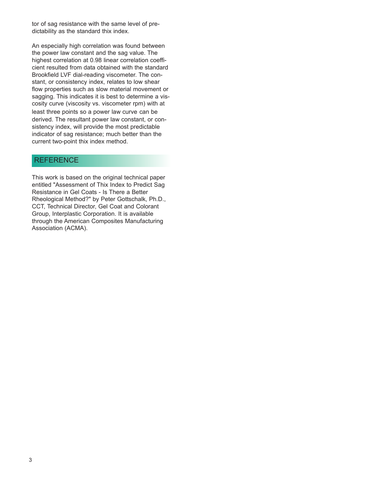tor of sag resistance with the same level of predictability as the standard thix index.

An especially high correlation was found between the power law constant and the sag value. The highest correlation at 0.98 linear correlation coefficient resulted from data obtained with the standard Brookfield LVF dial-reading viscometer. The constant, or consistency index, relates to low shear flow properties such as slow material movement or sagging. This indicates it is best to determine a viscosity curve (viscosity vs. viscometer rpm) with at least three points so a power law curve can be derived. The resultant power law constant, or consistency index, will provide the most predictable indicator of sag resistance; much better than the current two-point thix index method.

#### **REFERENCE**

This work is based on the original technical paper entitled "Assessment of Thix Index to Predict Sag Resistance in Gel Coats - Is There a Better Rheological Method?" by Peter Gottschalk, Ph.D., CCT, Technical Director, Gel Coat and Colorant Group, Interplastic Corporation. It is available through the American Composites Manufacturing Association (ACMA).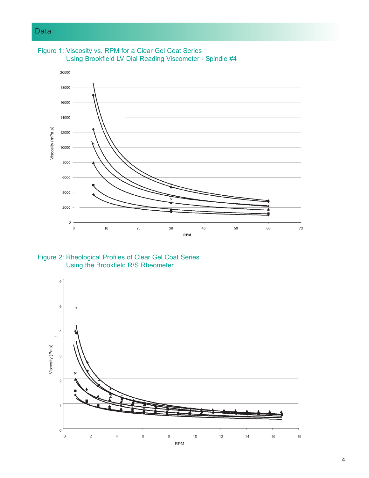

Figure 1: Viscosity vs. RPM for a Clear Gel Coat Series

Figure 2: Rheological Profiles of Clear Gel Coat Series Using the Brookfield R/S Rheometer

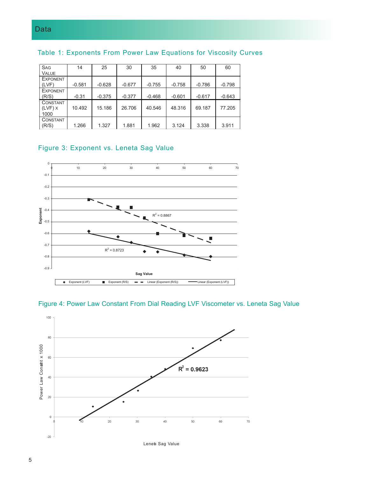| <b>SAG</b><br><b>VALUE</b>                  | 14       | 25       | 30       | 35       | 40       | 50       | 60       |
|---------------------------------------------|----------|----------|----------|----------|----------|----------|----------|
| <b>EXPONENT</b><br>(LVF)                    | $-0.581$ | $-0.628$ | $-0.677$ | $-0.755$ | $-0.758$ | $-0.786$ | $-0.798$ |
| <b>EXPONENT</b><br>(R/S)                    | $-0.31$  | $-0.375$ | $-0.377$ | $-0.468$ | $-0.601$ | $-0.617$ | $-0.643$ |
| <b>CONSTANT</b><br>$(LVF)$ $\times$<br>1000 | 10.492   | 15.186   | 26,706   | 40.546   | 48.316   | 69.187   | 77.205   |
| <b>CONSTANT</b><br>(R/S)                    | 1.266    | 1.327    | 1.881    | 1.962    | 3.124    | 3.338    | 3.911    |

#### Table 1: Exponents From Power Law Equations for Viscosity Curves

## Figure 3: Exponent vs. Leneta Sag Value



#### Figure 4: Power Law Constant From Dial Reading LVF Viscometer vs. Leneta Sag Value

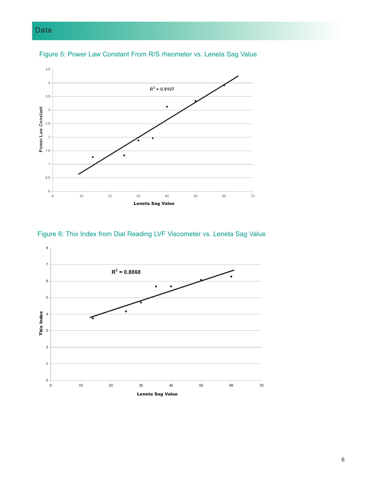# Data







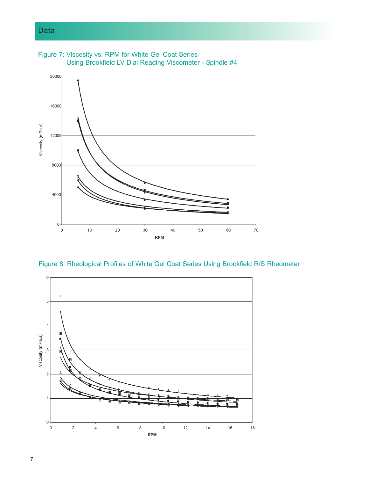## Data



Figure 7: Viscosity vs. RPM for White Gel Coat Series

Figure 8: Rheological Profiles of White Gel Coat Series Using Brookfield R/S Rheometer

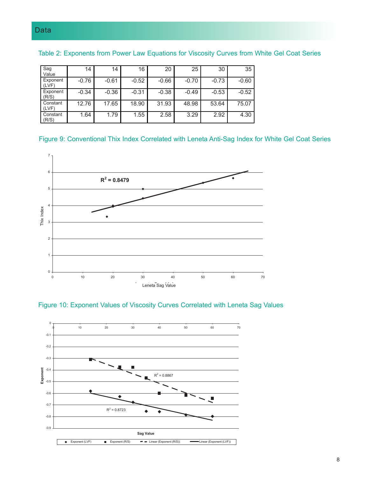| Sag<br>Value      | 14      | 14      | 16      | 20      | 25      | 30      | 35      |
|-------------------|---------|---------|---------|---------|---------|---------|---------|
| Exponent<br>(LVF) | $-0.76$ | $-0.61$ | $-0.52$ | $-0.66$ | $-0.70$ | $-0.73$ | $-0.60$ |
| Exponent<br>(R/S) | $-0.34$ | $-0.36$ | $-0.31$ | $-0.38$ | $-0.49$ | $-0.53$ | $-0.52$ |
| Constant<br>(LVF) | 12.76   | 17.65   | 18.90   | 31.93   | 48.98   | 53.64   | 75.07   |
| Constant<br>(R/S) | 1.64    | 1.79    | 1.55    | 2.58    | 3.29    | 2.92    | 4.30    |

Table 2: Exponents from Power Law Equations for Viscosity Curves from White Gel Coat Series

#### Figure 9: Conventional Thix Index Correlated with Leneta Anti-Sag Index for White Gel Coat Series



![](_page_8_Figure_5.jpeg)

![](_page_8_Figure_6.jpeg)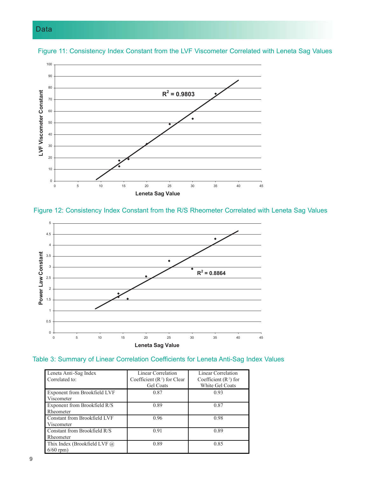## Data

![](_page_9_Figure_1.jpeg)

Figure 11: Consistency Index Constant from the LVF Viscometer Correlated with Leneta Sag Values

### Figure 12: Consistency Index Constant from the R/S Rheometer Correlated with Leneta Sag Values

![](_page_9_Figure_4.jpeg)

### Table 3: Summary of Linear Correlation Coefficients for Leneta Anti-Sag Index Values

| Leneta Anti-Sag Index          | Linear Correlation            | Linear Correlation      |
|--------------------------------|-------------------------------|-------------------------|
| Correlated to:                 | Coefficient $(R^2)$ for Clear | Coefficient $(R^2)$ for |
|                                | <b>Gel Coats</b>              | White Gel Coats         |
| Exponent from Brookfield LVF   | 0.87                          | 0.93                    |
| Viscometer                     |                               |                         |
| Exponent from Brookfield R/S   | 0.89                          | 0.87                    |
| Rheometer                      |                               |                         |
| Constant from Brookfield LVF   | 0.96                          | 0.98                    |
| Viscometer                     |                               |                         |
| Constant from Brookfield R/S   | 0.91                          | 0.89                    |
| Rheometer                      |                               |                         |
| Thix Index (Brookfield LVF $@$ | 0.89                          | 0.85                    |
| $6/60$ rpm)                    |                               |                         |